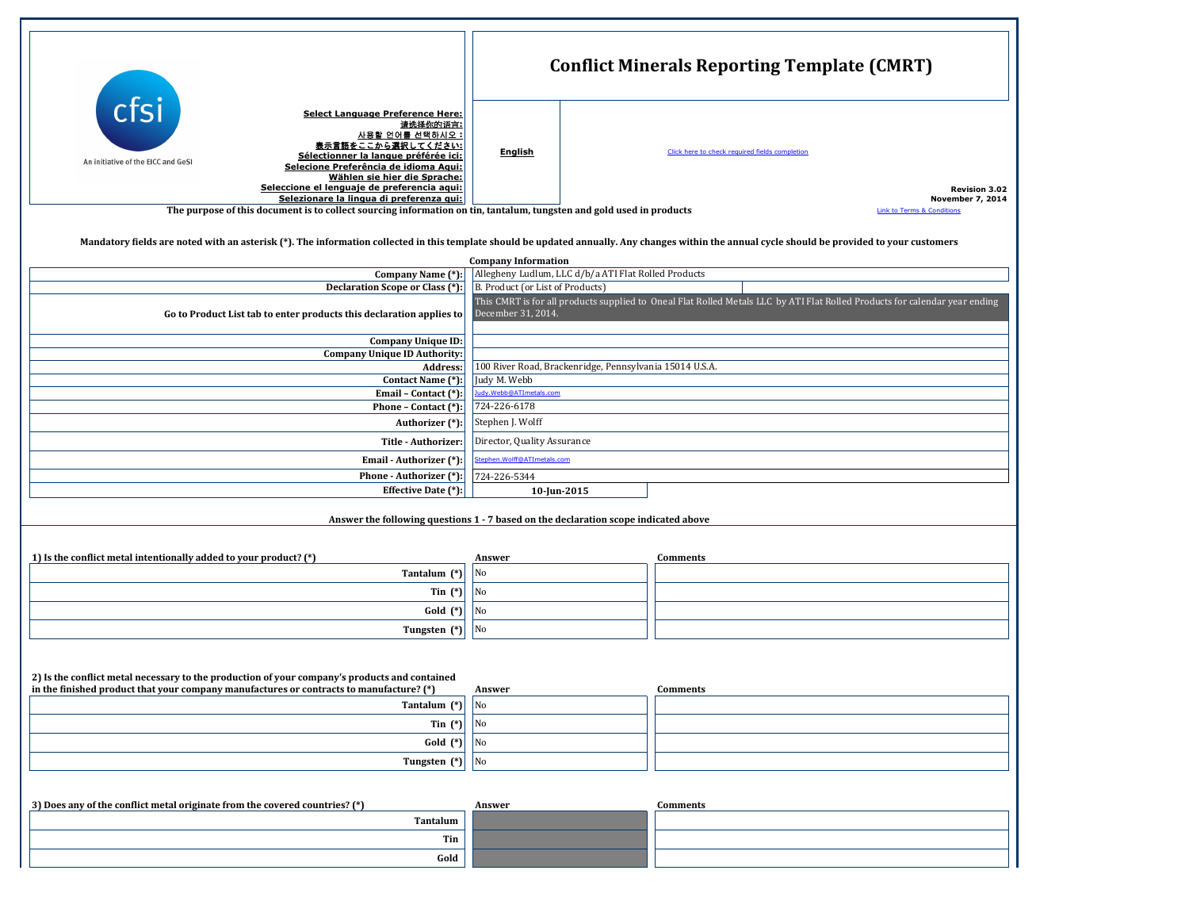|                                                   |                                                                                                                                                                                                                                                                                                                 |                | <b>Conflict Minerals Repor</b> |
|---------------------------------------------------|-----------------------------------------------------------------------------------------------------------------------------------------------------------------------------------------------------------------------------------------------------------------------------------------------------------------|----------------|--------------------------------|
| <b>ctsi</b><br>An initiative of the EICC and GeSI | <b>Select Language Preference Here:</b><br>请选择你的语言:<br><u>사용할 언어를 선택하시오 :</u><br>表示言語をここから選択してください:<br>Sélectionner la langue préférée ici:<br>Selecione Preferência de idioma Aqui:<br>Wählen sie hier die Sprache:<br>Seleccione el lenguaje de preferencia aqui:<br>Selezionare la lingua di preferenza qui: | <b>English</b> | Click here to check requir     |
|                                                   | The purpose of this document is to collect sourcing information on tin, tantalum, tungsten and gold used in products                                                                                                                                                                                            |                |                                |

Mandatory fields are noted with an asterisk (\*). The information collected in this term

|  |  |  |  | 2) Is the conflict metal necessary to the production of your company's products and contained                                           |  |  |  |  |
|--|--|--|--|-----------------------------------------------------------------------------------------------------------------------------------------|--|--|--|--|
|  |  |  |  | $\alpha$ , and $\alpha$ is the contract of $\alpha$ is the contract of $\alpha$ is the contract of $\alpha$ is the contract of $\alpha$ |  |  |  |  |

| in the finished product that your company manufactures or contracts to manufacture? (*) | Answer                 | <b>Comments</b> |
|-----------------------------------------------------------------------------------------|------------------------|-----------------|
| Tantalum (*)                                                                            | $\overline{\text{No}}$ |                 |
| Tin $(*)$                                                                               | $\overline{\text{No}}$ |                 |
| $Gold (*)$                                                                              | $\overline{\text{No}}$ |                 |
| Tungsten $(*)$                                                                          | $\overline{N_{0}}$     |                 |
|                                                                                         |                        |                 |

| 3) Does any of the conflict metal originate from the covered countries? (*) | Answer | Comments |
|-----------------------------------------------------------------------------|--------|----------|
| <b>Tantalum</b>                                                             |        |          |
|                                                                             | Tin    |          |
|                                                                             | Gold   |          |

|                                                                                                          | <b>Conflict Minerals Reporting Template (CMRT)</b> |                                                                          |                                                                                                                             |  |  |  |
|----------------------------------------------------------------------------------------------------------|----------------------------------------------------|--------------------------------------------------------------------------|-----------------------------------------------------------------------------------------------------------------------------|--|--|--|
| <u>e:<br/>한글 : '사다' 다.</u><br>뜨로 파                                                                       | <b>English</b>                                     |                                                                          | Click here to check required fields completion                                                                              |  |  |  |
|                                                                                                          |                                                    | on tin, tantalum, tungsten and gold used in products                     | <b>Revision 3.02</b><br><b>November 7, 2014</b><br><b>Link to Terms &amp; Conditions</b>                                    |  |  |  |
|                                                                                                          | <b>Company Information</b>                         |                                                                          | emplate should be updated annually. Any changes within the annual cycle should be provided to your customers                |  |  |  |
|                                                                                                          |                                                    | Allegheny Ludlum, LLC d/b/a ATI Flat Rolled Products                     |                                                                                                                             |  |  |  |
| <u>*):</u><br>*):                                                                                        | B. Product (or List of Products)                   |                                                                          |                                                                                                                             |  |  |  |
| to                                                                                                       | December 31, 2014.                                 |                                                                          | This CMRT is for all products supplied to Oneal Flat Rolled Metals LLC by ATI Flat Rolled Products for calendar year ending |  |  |  |
| D:<br>ty:<br>ss:<br>*):                                                                                  |                                                    |                                                                          |                                                                                                                             |  |  |  |
|                                                                                                          | Judy M. Webb                                       | 100 River Road, Brackenridge, Pennsylvania 15014 U.S.A.                  |                                                                                                                             |  |  |  |
| $\frac{1}{1}$<br>(*):<br>(*):                                                                            | Judy.Webb@ATImetals.com<br>724-226-6178            |                                                                          |                                                                                                                             |  |  |  |
|                                                                                                          | Stephen J. Wolff                                   |                                                                          |                                                                                                                             |  |  |  |
| er:                                                                                                      | Director, Quality Assurance                        |                                                                          |                                                                                                                             |  |  |  |
| *):<br><u>*):</u>                                                                                        | Stephen. Wolff@ATImetals.com<br>724-226-5344       |                                                                          |                                                                                                                             |  |  |  |
| $\overline{\overline{\hspace{-.15cm}:\hspace{-.15cm}:\hspace{-.15cm}}}$                                  |                                                    |                                                                          |                                                                                                                             |  |  |  |
|                                                                                                          |                                                    | 10-Jun-2015<br>ions 1 - 7 based on the declaration scope indicated above |                                                                                                                             |  |  |  |
|                                                                                                          | <b>Answer</b>                                      |                                                                          | <b>Comments</b>                                                                                                             |  |  |  |
| $\begin{matrix} \ast \end{matrix}$ $\begin{matrix} \ast \end{matrix}$ $\begin{matrix} \ast \end{matrix}$ | No<br>No                                           |                                                                          |                                                                                                                             |  |  |  |
|                                                                                                          | $\overline{\text{No}}$                             |                                                                          |                                                                                                                             |  |  |  |
| $\binom{*}{ }$                                                                                           | No                                                 |                                                                          |                                                                                                                             |  |  |  |
|                                                                                                          |                                                    |                                                                          |                                                                                                                             |  |  |  |
|                                                                                                          | <b>Answer</b>                                      |                                                                          | <b>Comments</b>                                                                                                             |  |  |  |
| $\frac{(*)}{(*)}$                                                                                        | No<br>No                                           |                                                                          |                                                                                                                             |  |  |  |
|                                                                                                          | No                                                 |                                                                          |                                                                                                                             |  |  |  |
| $\binom{*}{ }$                                                                                           | $\overline{\text{No}}$                             |                                                                          |                                                                                                                             |  |  |  |
|                                                                                                          |                                                    |                                                                          |                                                                                                                             |  |  |  |
| n                                                                                                        | <b>Answer</b>                                      |                                                                          | <b>Comments</b>                                                                                                             |  |  |  |
| n                                                                                                        |                                                    |                                                                          |                                                                                                                             |  |  |  |
| d                                                                                                        |                                                    |                                                                          |                                                                                                                             |  |  |  |
|                                                                                                          |                                                    |                                                                          |                                                                                                                             |  |  |  |

|                                                                      | <b>Company Information</b>                                                            |  |  |  |  |  |
|----------------------------------------------------------------------|---------------------------------------------------------------------------------------|--|--|--|--|--|
| <b>Company Name (*):</b>                                             | Allegheny Ludlum, LLC d/b/a ATI Flat Rolled Products                                  |  |  |  |  |  |
| <b>Declaration Scope or Class (*):</b>                               | B. Product (or List of Products)                                                      |  |  |  |  |  |
| Go to Product List tab to enter products this declaration applies to | This CMRT is for all products supplied to Oneal Flat Rolled Met<br>December 31, 2014. |  |  |  |  |  |
| <b>Company Unique ID:</b>                                            |                                                                                       |  |  |  |  |  |
| <b>Company Unique ID Authority:</b>                                  |                                                                                       |  |  |  |  |  |
| <b>Address:</b>                                                      | 100 River Road, Brackenridge, Pennsylvania 15014 U.S.A.                               |  |  |  |  |  |
| Contact Name (*):                                                    | Judy M. Webb                                                                          |  |  |  |  |  |
| Email - Contact (*):                                                 | Judy.Webb@ATImetals.com                                                               |  |  |  |  |  |
| Phone - Contact (*):                                                 | 724-226-6178                                                                          |  |  |  |  |  |
| Authorizer (*):                                                      | Stephen J. Wolff                                                                      |  |  |  |  |  |
| <b>Title - Authorizer:</b>                                           | Director, Quality Assurance                                                           |  |  |  |  |  |
| <b>Email - Authorizer (*):</b>                                       | Stephen.Wolff@ATImetals.com                                                           |  |  |  |  |  |
| Phone - Authorizer (*):                                              | 724-226-5344                                                                          |  |  |  |  |  |
| <b>Effective Date (*):</b>                                           | $10$ -Jun-2015                                                                        |  |  |  |  |  |

**Answer the following questic** 

| 1) Is the conflict metal intentionally added to your product? $(*)$ | Answer                 | Comments |
|---------------------------------------------------------------------|------------------------|----------|
| <b>Tantalum</b> (*) No                                              |                        |          |
| Tin $(*)$                                                           | $\overline{N_{0}}$     |          |
| Gold $(*)$                                                          | $\overline{\text{No}}$ |          |
| Tungsten $(*)$                                                      | $\overline{\text{No}}$ |          |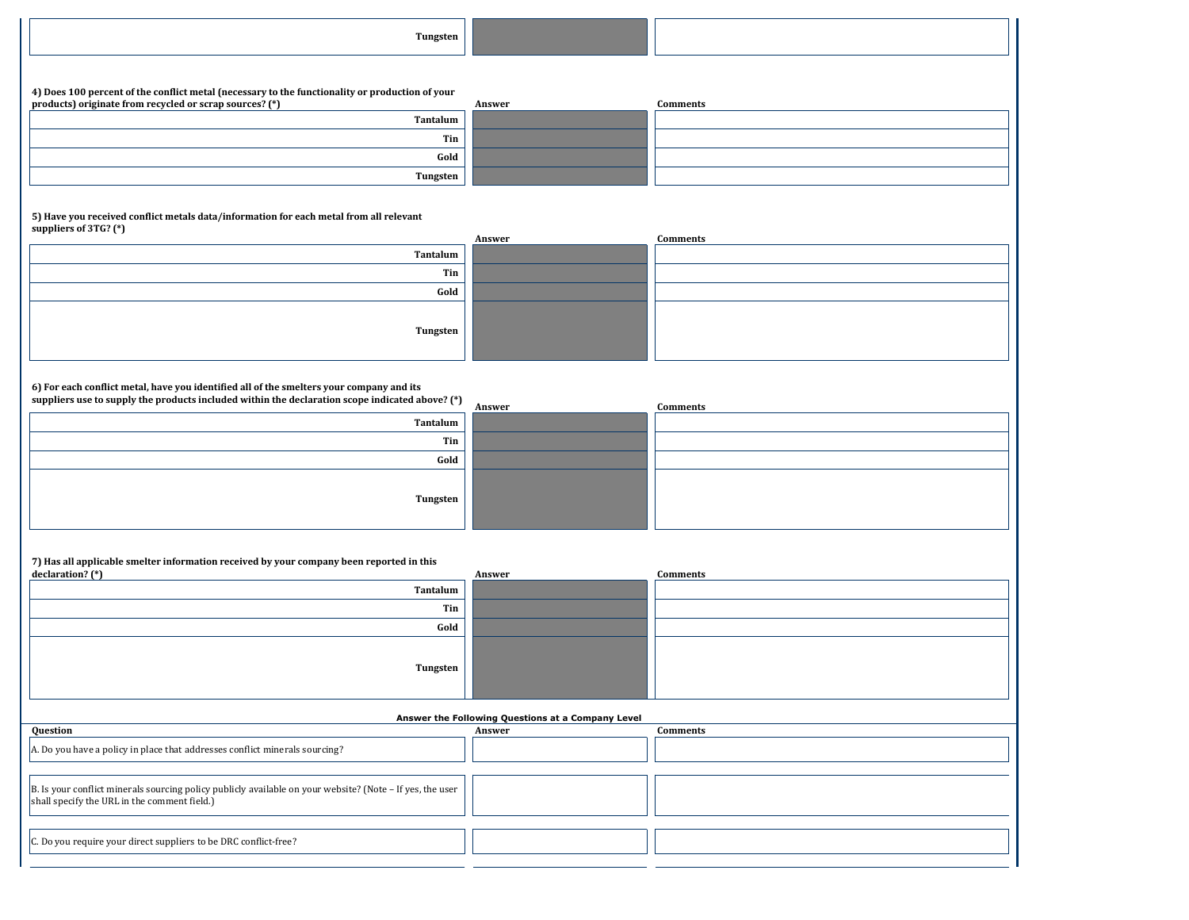| Tungsten |
|----------|
|----------|

**4) Does 100 percent of the conflict metal (necessary to the functionality or production of your**  products) originate from recycled or scrap sources? (\*)

**5) Have you received conflict metals data/information for each metal from all relevant suppliers of 3TG? (\*)**

**6) For each conflict metal, have you identified all of the smelters your company and its** 

**suppliers use to supply the products included within the declaration scope indicated above? (\*)**

| Tantalum |      |
|----------|------|
|          | Tin  |
|          | Gold |
| Tungsten |      |

**7) Has all applicable smelter information received by your company been reported in this** 

| products) originate from recycled or scrap sources? (*) |                 | Answer | <b>Comments</b> |
|---------------------------------------------------------|-----------------|--------|-----------------|
|                                                         | Tantalum        |        |                 |
|                                                         | Tin             |        |                 |
|                                                         | Gold            |        |                 |
|                                                         | <b>Tungsten</b> |        |                 |

| .        | Answer | <b>Comments</b> |
|----------|--------|-----------------|
| Tantalum |        |                 |
| Tin      |        |                 |
| Gold     |        |                 |
| Tungsten |        |                 |

| <b>Comments</b> |
|-----------------|
|                 |
|                 |
|                 |
|                 |
|                 |
|                 |
|                 |
|                 |

| 7 Thas an applicable sinence information received by your company been reported in this                                                                           |                 |                                                   |                 |
|-------------------------------------------------------------------------------------------------------------------------------------------------------------------|-----------------|---------------------------------------------------|-----------------|
| declaration? $(*)$                                                                                                                                                |                 | Answer                                            | <b>Comments</b> |
|                                                                                                                                                                   | <b>Tantalum</b> |                                                   |                 |
|                                                                                                                                                                   | Tin             |                                                   |                 |
|                                                                                                                                                                   | Gold            |                                                   |                 |
|                                                                                                                                                                   | <b>Tungsten</b> |                                                   |                 |
|                                                                                                                                                                   |                 | Answer the Following Questions at a Company Level |                 |
| Question                                                                                                                                                          |                 | Answer                                            | <b>Comments</b> |
| A. Do you have a policy in place that addresses conflict minerals sourcing?                                                                                       |                 |                                                   |                 |
|                                                                                                                                                                   |                 |                                                   |                 |
| $\vert$ B. Is your conflict minerals sourcing policy publicly available on your website? (Note – If yes, the user<br>shall specify the URL in the comment field.) |                 |                                                   |                 |

C. Do you require your direct suppliers to be DRC conflict-free?